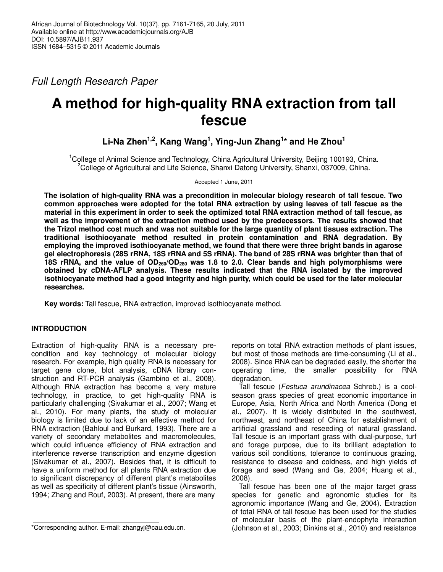Full Length Research Paper

# **A method for high-quality RNA extraction from tall fescue**

# **Li-Na Zhen1,2, Kang Wang<sup>1</sup> , Ying-Jun Zhang<sup>1</sup> \* and He Zhou<sup>1</sup>**

<sup>1</sup>College of Animal Science and Technology, China Agricultural University, Beijing 100193, China. <sup>2</sup>College of Agricultural and Life Science, Shanxi Datong University, Shanxi, 037009, China.

Accepted 1 June, 2011

**The isolation of high-quality RNA was a precondition in molecular biology research of tall fescue. Two common approaches were adopted for the total RNA extraction by using leaves of tall fescue as the material in this experiment in order to seek the optimized total RNA extraction method of tall fescue, as well as the improvement of the extraction method used by the predecessors. The results showed that the Trizol method cost much and was not suitable for the large quantity of plant tissues extraction. The traditional isothiocyanate method resulted in protein contamination and RNA degradation. By employing the improved isothiocyanate method, we found that there were three bright bands in agarose gel electrophoresis (28S rRNA, 18S rRNA and 5S rRNA). The band of 28S rRNA was brighter than that of 18S rRNA, and the value of OD260/OD280 was 1.8 to 2.0. Clear bands and high polymorphisms were obtained by cDNA-AFLP analysis. These results indicated that the RNA isolated by the improved isothiocyanate method had a good integrity and high purity, which could be used for the later molecular researches.** 

**Key words:** Tall fescue, RNA extraction, improved isothiocyanate method.

# **INTRODUCTION**

Extraction of high-quality RNA is a necessary precondition and key technology of molecular biology research. For example, high quality RNA is necessary for target gene clone, blot analysis, cDNA library construction and RT-PCR analysis (Gambino et al., 2008). Although RNA extraction has become a very mature technology, in practice, to get high-quality RNA is particularly challenging (Sivakumar et al., 2007; Wang et al., 2010). For many plants, the study of molecular biology is limited due to lack of an effective method for RNA extraction (Bahloul and Burkard, 1993). There are a variety of secondary metabolites and macromolecules, which could influence efficiency of RNA extraction and interference reverse transcription and enzyme digestion (Sivakumar et al., 2007). Besides that, it is difficult to have a uniform method for all plants RNA extraction due to significant discrepancy of different plant's metabolites as well as specificity of different plant's tissue (Ainsworth, 1994; Zhang and Rouf, 2003). At present, there are many

reports on total RNA extraction methods of plant issues, but most of those methods are time-consuming (Li et al., 2008). Since RNA can be degraded easily, the shorter the operating time, the smaller possibility for RNA degradation.

Tall fescue (Festuca arundinacea Schreb.) is a coolseason grass species of great economic importance in Europe, Asia, North Africa and North America (Dong et al., 2007). It is widely distributed in the southwest, northwest, and northeast of China for establishment of artificial grassland and reseeding of natural grassland. Tall fescue is an important grass with dual-purpose, turf and forage purpose, due to its brilliant adaptation to various soil conditions, tolerance to continuous grazing, resistance to disease and coldness, and high yields of forage and seed (Wang and Ge, 2004; Huang et al., 2008).

Tall fescue has been one of the major target grass species for genetic and agronomic studies for its agronomic importance (Wang and Ge, 2004). Extraction of total RNA of tall fescue has been used for the studies of molecular basis of the plant-endophyte interaction (Johnson et al., 2003; Dinkins et al., 2010) and resistance

<sup>\*</sup>Corresponding author. E-mail: zhangyj@cau.edu.cn.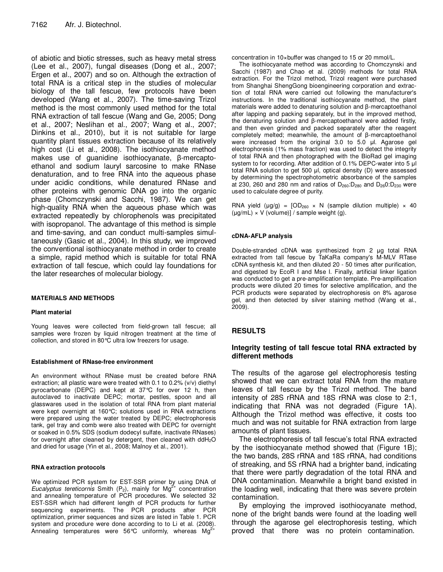of abiotic and biotic stresses, such as heavy metal stress (Lee et al., 2007), fungal diseases (Dong et al., 2007; Ergen et al., 2007) and so on. Although the extraction of total RNA is a critical step in the studies of molecular biology of the tall fescue, few protocols have been developed (Wang et al., 2007). The time-saving Trizol method is the most commonly used method for the total RNA extraction of tall fescue (Wang and Ge, 2005; Dong et al., 2007; Neslihan et al., 2007; Wang et al., 2007; Dinkins et al., 2010), but it is not suitable for large quantity plant tissues extraction because of its relatively high cost (Li et al., 2008). The isothiocyanate method makes use of guanidine isothiocyanate, β-mercaptoethanol and sodium lauryl sarcosine to make RNase denaturation, and to free RNA into the aqueous phase under acidic conditions, while denatured RNase and other proteins with genomic DNA go into the organic phase (Chomczynski and Sacchi, 1987). We can get high-quality RNA when the aqueous phase which was extracted repeatedly by chlorophenols was precipitated with isopropanol. The advantage of this method is simple and time-saving, and can conduct multi-samples simultaneously (Gasic et al., 2004). In this study, we improved the conventional isothiocyanate method in order to create a simple, rapid method which is suitable for total RNA extraction of tall fescue, which could lay foundations for the later researches of molecular biology.

#### **MATERIALS AND METHODS**

#### **Plant material**

Young leaves were collected from field-grown tall fescue; all samples were frozen by liquid nitrogen treatment at the time of collection, and stored in 80°C ultra low freezers for usage.

#### **Establishment of RNase-free environment**

An environment without RNase must be created before RNA extraction; all plastic ware were treated with 0.1 to 0.2% (v/v) diethyl pyrocarbonate (DEPC) and kept at 37°C for over 12 h, then autoclaved to inactivate DEPC; mortar, pestles, spoon and all glasswares used in the isolation of total RNA from plant material were kept overnight at 160°C; solutions used in RNA extractions were prepared using the water treated by DEPC; electrophoresis tank, gel tray and comb were also treated with DEPC for overnight or soaked in 0.5% SDS (sodium dodecyl sulfate, inactivate RNases) for overnight after cleaned by detergent, then cleaned with ddH<sub>2</sub>O and dried for usage (Yin et al., 2008; Malnoy et al., 2001).

#### **RNA extraction protocols**

We optimized PCR system for EST-SSR primer by using DNA of Eucalyptus tereticornis Smith  $(P_2)$ , mainly for Mg<sup>2+</sup> concentration and annealing temperature of PCR procedures. We selected 32 EST-SSR which had different length of PCR products for further sequencing experiments. The PCR products after PCR optimization, primer sequences and sizes are listed in Table 1. PCR system and procedure were done according to to Li et al. (2008). Annealing temperatures were 56°C uniformly, whereas  $Mg<sup>2</sup>$ 

concentration in 10×buffer was changed to 15 or 20 mmol/L.

The isothiocyanate method was according to Chomczynski and Sacchi (1987) and Chao et al. (2009) methods for total RNA extraction. For the Trizol method, Trizol reagent were purchased from Shanghai ShengGong bioengineering corporation and extraction of total RNA were carried out following the manufacturer's instructions. In the traditional isothiocyanate method, the plant materials were added to denaturing solution and β-mercaptoethanol after lapping and packing separately, but in the improved method, the denaturing solution and β-mercaptoethanol were added firstly, and then even grinded and packed separately after the reagent completely melted; meanwhile, the amount of β-mercaptoethanol were increased from the original 3.0 to 5.0 µl. Agarose gel electrophoresis (1% mass fraction) was used to detect the integrity of total RNA and then photographed with the BioRad gel imaging system to for recording. After addition of 0.1% DEPC-water into 5  $\mu$ I total RNA solution to get 500 µl, optical density (D) were assessed by determining the spectrophotometric absorbance of the samples at 230, 260 and 280 nm and ratios of  $D_{260}$ : $D_{280}$  and  $D_{26}$ 0: $D_{230}$  were used to calculate degree of purity.

RNA yield ( $\mu$ g/g) =  $[OD<sub>260</sub> \times N$  (sample dilution multiple)  $\times$  40  $(\mu g/mL) \times V$  (volume)] / sample weight (g).

#### **cDNA-AFLP analysis**

Double-stranded cDNA was synthesized from 2 µg total RNA extracted from tall fescue by TaKaRa company's M-MLV RTase cDNA synthesis kit, and then diluted 20 - 50 times after purification, and digested by EcoR I and Mse I. Finally, artificial linker ligation was conducted to get a pre-amplification template. Pre-amplification products were diluted 20 times for selective amplification, and the PCR products were separated by electrophoresis on 8% agarose gel, and then detected by silver staining method (Wang et al., 2009).

# **RESULTS**

# **Integrity testing of tall fescue total RNA extracted by different methods**

The results of the agarose gel electrophoresis testing showed that we can extract total RNA from the mature leaves of tall fescue by the Trizol method. The band intensity of 28S rRNA and 18S rRNA was close to 2:1, indicating that RNA was not degraded (Figure 1A). Although the Trizol method was effective, it costs too much and was not suitable for RNA extraction from large amounts of plant tissues.

The electrophoresis of tall fescue's total RNA extracted by the isothiocyanate method showed that (Figure 1B); the two bands, 28S rRNA and 18S rRNA, had conditions of streaking, and 5S rRNA had a brighter band, indicating that there were partly degradation of the total RNA and DNA contamination. Meanwhile a bright band existed in the loading well, indicating that there was severe protein contamination.

By employing the improved isothiocyanate method, none of the bright bands were found at the loading well through the agarose gel electrophoresis testing, which proved that there was no protein contamination.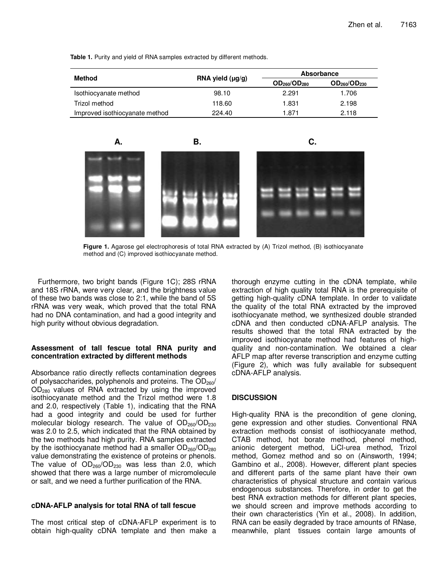Table 1. Purity and yield of RNA samples extracted by different methods.

| Method                         | RNA yield $(\mu g/g)$ | <b>Absorbance</b>                    |                     |
|--------------------------------|-----------------------|--------------------------------------|---------------------|
|                                |                       | OD <sub>260</sub> /OD <sub>280</sub> | $OD_{260}/OD_{230}$ |
| Isothiocyanate method          | 98.10                 | 2.291                                | 1.706               |
| Trizol method                  | 118.60                | 1.831                                | 2.198               |
| Improved isothiocyanate method | 224.40                | 1.871                                | 2.118               |

**A. B. C.**



**Figure 1.** Agarose gel electrophoresis of total RNA extracted by (A) Trizol method, (B) isothiocyanate method and (C) improved isothiocyanate method.

Furthermore, two bright bands (Figure 1C); 28S rRNA and 18S rRNA, were very clear, and the brightness value of these two bands was close to 2:1, while the band of 5S rRNA was very weak, which proved that the total RNA had no DNA contamination, and had a good integrity and high purity without obvious degradation.

# **Assessment of tall fescue total RNA purity and concentration extracted by different methods**

Absorbance ratio directly reflects contamination degrees of polysaccharides, polyphenols and proteins. The  $OD<sub>260</sub>/$ OD280 values of RNA extracted by using the improved isothiocyanate method and the Trizol method were 1.8 and 2.0, respectively (Table 1), indicating that the RNA had a good integrity and could be used for further molecular biology research. The value of OD<sub>260</sub>/OD<sub>230</sub> was 2.0 to 2.5, which indicated that the RNA obtained by the two methods had high purity. RNA samples extracted by the isothiocyanate method had a smaller  $OD<sub>260</sub>/OD<sub>280</sub>$ value demonstrating the existence of proteins or phenols. The value of  $OD_{260}/OD_{230}$  was less than 2.0, which showed that there was a large number of micromolecule or salt, and we need a further purification of the RNA.

# **cDNA-AFLP analysis for total RNA of tall fescue**

The most critical step of cDNA-AFLP experiment is to obtain high-quality cDNA template and then make a

thorough enzyme cutting in the cDNA template, while extraction of high quality total RNA is the prerequisite of getting high-quality cDNA template. In order to validate the quality of the total RNA extracted by the improved isothiocyanate method, we synthesized double stranded cDNA and then conducted cDNA-AFLP analysis. The results showed that the total RNA extracted by the improved isothiocyanate method had features of highquality and non-contamination. We obtained a clear AFLP map after reverse transcription and enzyme cutting (Figure 2), which was fully available for subsequent cDNA-AFLP analysis.

# **DISCUSSION**

High-quality RNA is the precondition of gene cloning, gene expression and other studies. Conventional RNA extraction methods consist of isothiocyanate method, CTAB method, hot borate method, phenol method, anionic detergent method, LiCl-urea method, Trizol method, Gomez method and so on (Ainsworth, 1994; Gambino et al., 2008). However, different plant species and different parts of the same plant have their own characteristics of physical structure and contain various endogenous substances. Therefore, in order to get the best RNA extraction methods for different plant species, we should screen and improve methods according to their own characteristics (Yin et al., 2008). In addition, RNA can be easily degraded by trace amounts of RNase, meanwhile, plant tissues contain large amounts of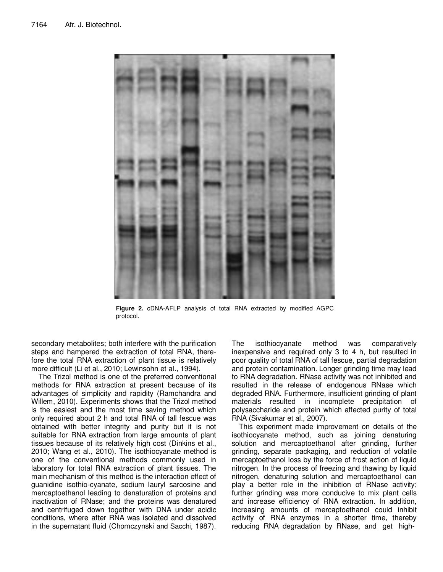

**Figure 2.** cDNA-AFLP analysis of total RNA extracted by modified AGPC protocol.

secondary metabolites; both interfere with the purification steps and hampered the extraction of total RNA, therefore the total RNA extraction of plant tissue is relatively more difficult (Li et al., 2010; Lewinsohn et al., 1994).

The Trizol method is one of the preferred conventional methods for RNA extraction at present because of its advantages of simplicity and rapidity (Ramchandra and Willem, 2010). Experiments shows that the Trizol method is the easiest and the most time saving method which only required about 2 h and total RNA of tall fescue was obtained with better integrity and purity but it is not suitable for RNA extraction from large amounts of plant tissues because of its relatively high cost (Dinkins et al., 2010; Wang et al., 2010). The isothiocyanate method is one of the conventional methods commonly used in laboratory for total RNA extraction of plant tissues. The main mechanism of this method is the interaction effect of guanidine isothio-cyanate, sodium lauryl sarcosine and mercaptoethanol leading to denaturation of proteins and inactivation of RNase; and the proteins was denatured and centrifuged down together with DNA under acidic conditions, where after RNA was isolated and dissolved in the supernatant fluid (Chomczynski and Sacchi, 1987).

The isothiocyanate method was comparatively inexpensive and required only 3 to 4 h, but resulted in poor quality of total RNA of tall fescue, partial degradation and protein contamination. Longer grinding time may lead to RNA degradation. RNase activity was not inhibited and resulted in the release of endogenous RNase which degraded RNA. Furthermore, insufficient grinding of plant materials resulted in incomplete precipitation of polysaccharide and protein which affected purity of total RNA (Sivakumar et al., 2007).

This experiment made improvement on details of the isothiocyanate method, such as joining denaturing solution and mercaptoethanol after grinding, further grinding, separate packaging, and reduction of volatile mercaptoethanol loss by the force of frost action of liquid nitrogen. In the process of freezing and thawing by liquid nitrogen, denaturing solution and mercaptoethanol can play a better role in the inhibition of RNase activity; further grinding was more conducive to mix plant cells and increase efficiency of RNA extraction. In addition, increasing amounts of mercaptoethanol could inhibit activity of RNA enzymes in a shorter time, thereby reducing RNA degradation by RNase, and get high